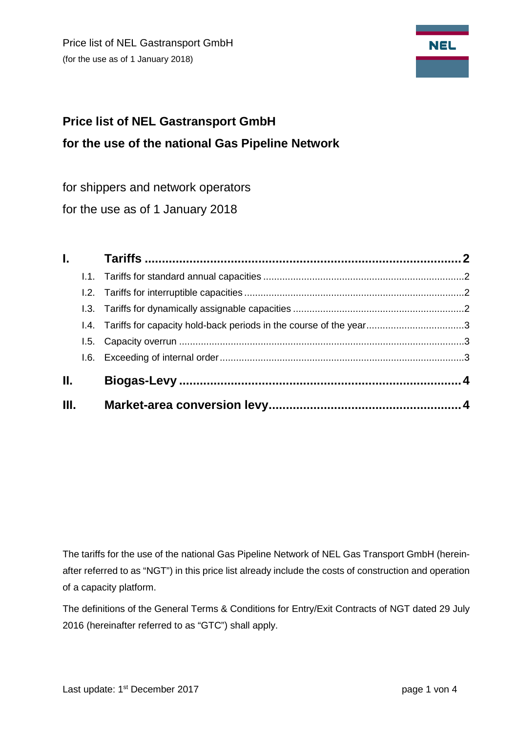Price list of NEL Gastransport GmbH (for the use as of 1 January 2018)



# **Price list of NEL Gastransport GmbH for the use of the national Gas Pipeline Network**

for shippers and network operators

for the use as of 1 January 2018

| L.<br>Ш. |  |
|----------|--|

The tariffs for the use of the national Gas Pipeline Network of NEL Gas Transport GmbH (hereinafter referred to as "NGT") in this price list already include the costs of construction and operation of a capacity platform.

The definitions of the General Terms & Conditions for Entry/Exit Contracts of NGT dated 29 July 2016 (hereinafter referred to as "GTC") shall apply.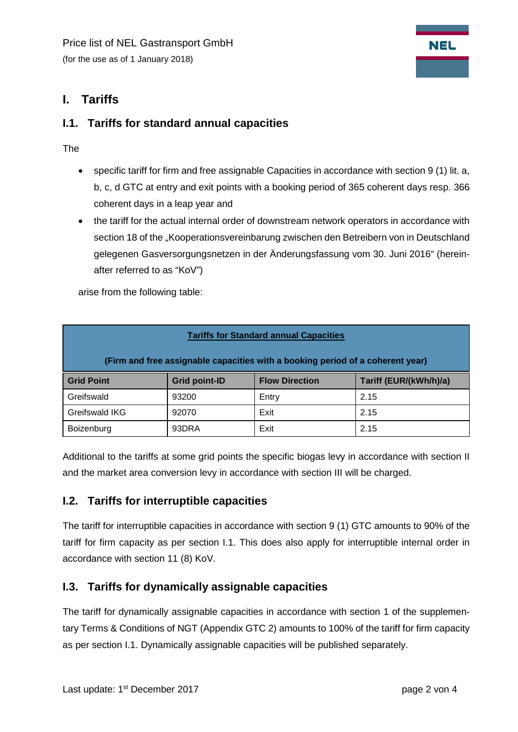# <span id="page-1-0"></span>**I. Tariffs**

### <span id="page-1-1"></span>**I.1. Tariffs for standard annual capacities**

The

- specific tariff for firm and free assignable Capacities in accordance with section 9 (1) lit. a, b, c, d GTC at entry and exit points with a booking period of 365 coherent days resp. 366 coherent days in a leap year and
- the tariff for the actual internal order of downstream network operators in accordance with section 18 of the "Kooperationsvereinbarung zwischen den Betreibern von in Deutschland gelegenen Gasversorgungsnetzen in der Änderungsfassung vom 30. Juni 2016" (hereinafter referred to as "KoV")

arise from the following table:

| <b>Tariffs for Standard annual Capacities</b>                                  |                      |                       |                        |  |  |  |  |
|--------------------------------------------------------------------------------|----------------------|-----------------------|------------------------|--|--|--|--|
| (Firm and free assignable capacities with a booking period of a coherent year) |                      |                       |                        |  |  |  |  |
| <b>Grid Point</b>                                                              | <b>Grid point-ID</b> | <b>Flow Direction</b> | Tariff (EUR/(kWh/h)/a) |  |  |  |  |
| Greifswald                                                                     | 93200                | Entry                 | 2.15                   |  |  |  |  |
| Greifswald IKG                                                                 | 92070                | Exit                  | 2.15                   |  |  |  |  |
| Boizenburg                                                                     | 93DRA                | Exit                  | 2.15                   |  |  |  |  |

Additional to the tariffs at some grid points the specific biogas levy in accordance with section II and the market area conversion levy in accordance with section III will be charged.

#### <span id="page-1-2"></span>**I.2. Tariffs for interruptible capacities**

The tariff for interruptible capacities in accordance with section 9 (1) GTC amounts to 90% of the tariff for firm capacity as per section I.1. This does also apply for interruptible internal order in accordance with section 11 (8) KoV.

## <span id="page-1-3"></span>**I.3. Tariffs for dynamically assignable capacities**

The tariff for dynamically assignable capacities in accordance with section 1 of the supplementary Terms & Conditions of NGT (Appendix GTC 2) amounts to 100% of the tariff for firm capacity as per section I.1. Dynamically assignable capacities will be published separately.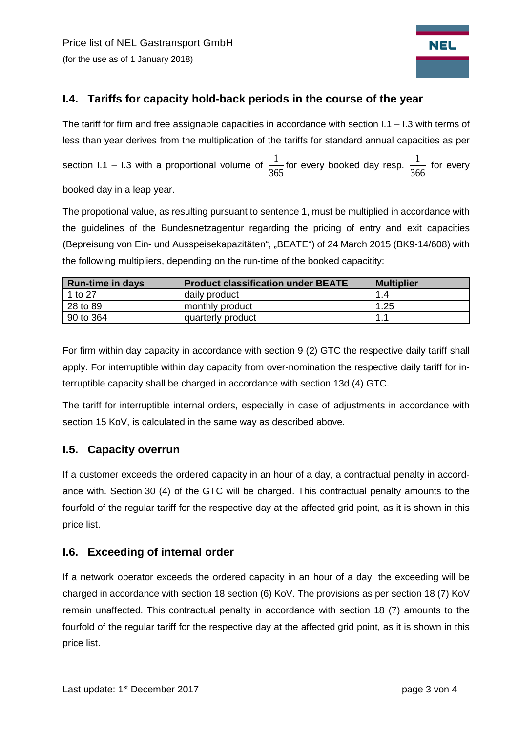

## <span id="page-2-0"></span>**I.4. Tariffs for capacity hold-back periods in the course of the year**

The tariff for firm and free assignable capacities in accordance with section  $1.1 - 1.3$  with terms of less than year derives from the multiplication of the tariffs for standard annual capacities as per section I.1 – I.3 with a proportional volume of  $\frac{1}{365}$  for every booked day resp.  $\frac{1}{366}$  for every booked day in a leap year.

The propotional value, as resulting pursuant to sentence 1, must be multiplied in accordance with the guidelines of the Bundesnetzagentur regarding the pricing of entry and exit capacities (Bepreisung von Ein- und Ausspeisekapazitäten", "BEATE") of 24 March 2015 (BK9-14/608) with the following multipliers, depending on the run-time of the booked capacitity:

| <b>Run-time in days</b> | <b>Product classification under BEATE</b> | <b>Multiplier</b> |
|-------------------------|-------------------------------------------|-------------------|
| 1 to 27                 | daily product                             | 1.4               |
| 28 to 89                | monthly product                           | 1.25              |
| 90 to 364               | quarterly product                         | 1 <sup>1</sup>    |

For firm within day capacity in accordance with section 9 (2) GTC the respective daily tariff shall apply. For interruptible within day capacity from over-nomination the respective daily tariff for interruptible capacity shall be charged in accordance with section 13d (4) GTC.

The tariff for interruptible internal orders, especially in case of adjustments in accordance with section 15 KoV, is calculated in the same way as described above.

#### <span id="page-2-1"></span>**I.5. Capacity overrun**

If a customer exceeds the ordered capacity in an hour of a day, a contractual penalty in accordance with. Section 30 (4) of the GTC will be charged. This contractual penalty amounts to the fourfold of the regular tariff for the respective day at the affected grid point, as it is shown in this price list.

#### <span id="page-2-2"></span>**I.6. Exceeding of internal order**

If a network operator exceeds the ordered capacity in an hour of a day, the exceeding will be charged in accordance with section 18 section (6) KoV. The provisions as per section 18 (7) KoV remain unaffected. This contractual penalty in accordance with section 18 (7) amounts to the fourfold of the regular tariff for the respective day at the affected grid point, as it is shown in this price list.